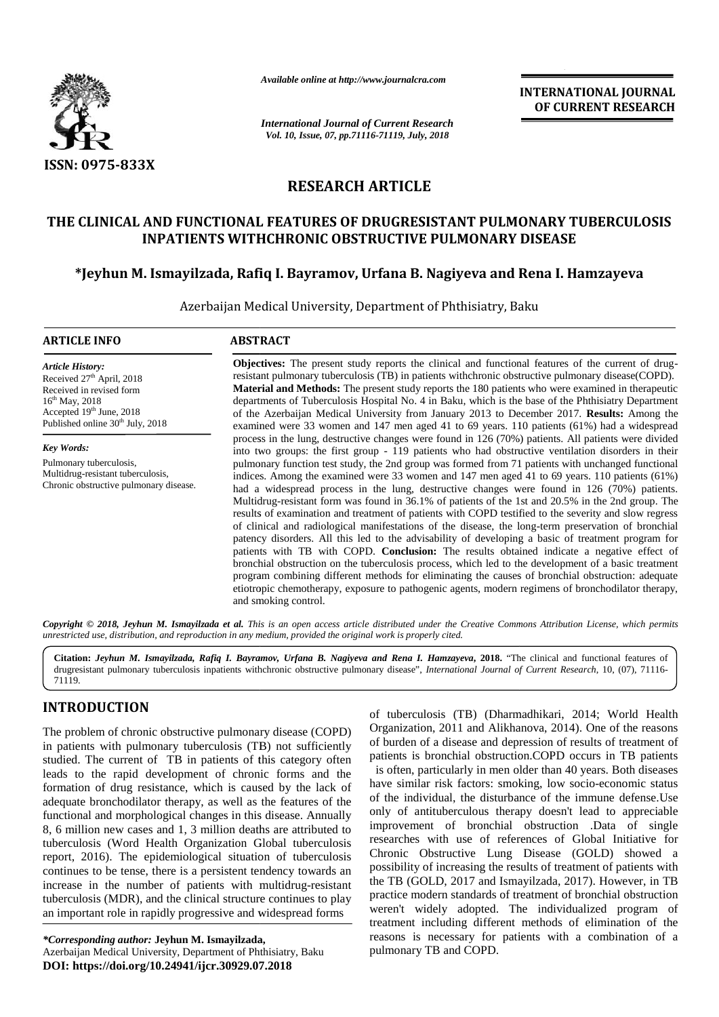

*Available online at http://www.journalcra.com http://www.journalcra.com*

*International Journal of Current Research*<br> **Maternational** *Journal of Current Research Vol. 10, Issue, 07, pp.71116-71119, July, 2018*

**INTERNATIONAL JOURNAL OF CURRENT RESEARCH**

## **RESEARCH ARTICLE**

# **THE CLINICAL AND FUNCTIONAL FEATURES OF DRUGRESISTANT PULMONARY TUBERCULOSIS INPATIENTS WITHCHRONIC OBSTRUCTIVE PULMONARY DISEASE \*Jeyhun M. Ismayilzada, Rafiq I. Bayramov, Urfana B. Nagiyeva and Rena I. Hamzayeva AND I. Bayramov, Hamzayeva**

Azerbaijan Medical University, Department of Phthisiatry, Baku

#### **ARTICLE INFO ABSTRACT ARTICLE**

*Article History:* Received 27<sup>th</sup> April, 2018 Received in revised form 16th May, 2018 Accepted  $19<sup>th</sup>$  June, 2018 Published online 30<sup>th</sup> July, 2018

*Key Words:* Pulmonary tuberculosis, Multidrug-resistant tuberculosis, Chronic obstructive pulmonary disease.

**Objectives:** The present study reports the clinical and functional features of the current of drugresistant pulmonary tuberculosis (TB) in patients withchronic obstructive pulmonary disease(COPD). **Material and Methods:** The present study reports the 180 patients who were examined in therapeutic departments of Tuberculosis Hospital No. 4 in Baku, which is the base of the Phthisiatry Department of the Azerbaijan Medical University from January 2013 to December 2017. **Results:** Among the examined were 33 women and 147 men aged 41 to 69 years. 110 patients (61%) had a widespread process in the lung, destructive changes were found in 126 (70%) patients. All patients were divided into two groups: the first group - 119 patients who had obstructive ventilation disorders in their pulmonary function test study, the 2nd group was formed from 71 patients with unchanged functional pulmonary function test study, the 2nd group was formed from 71 patients with unchanged functional indices. Among the examined were 33 women and 147 men aged 41 to 69 years. 110 patients (61%) had a widespread process in the lung, destructive changes were found in 126 (70%) patients. Multidrug-resistant form was found in 36.1% of patients of the 1st and 20.5% in the 2nd group. The results of examination and treatment of patients with COPD testified to the severity and slow regress of clinical and radiological manifestations of the disease, the long-term preservation of bronchial patency disorders. All this led to the advisability of developing a basic of treatment program for patients with TB with COPD. **Conclusion:** The results obtained indicate a negative effect of bronchial obstruction on the tuberculosis process, which led to the development of a basic treatment program combining different methods for eliminating the causes of bronchial obstruction: adequate etiotropic chemotherapy, exposure to pathogenic agents, modern regimens of bronchodilator therapy, and smoking control. The present study reports the clinical and functional features of the current of drug-<br>monary tuberculosis (TB) in patients withchronic obstructive pulmonary disease(COPD).<br>**d Methods:** The present study reports the 180 pa were 33 women and 147 men aged 41 to 69 years. 110 patients (61%) had a widespread<br>a the lung, destructive changes were found in 126 (70%) patients. All patients were divided<br>groups: the first group - 119 patients who had was found in 36.1% of patients of the 1st and 20.5% in the 2nd treatment of patients with COPD testified to the severity and cal manifestations of the disease, the long-term preservation TB with COPD. **Conclusion:** The results obtained indicate a negative effect of truction on the tuberculosis process, which led to the development of a basic treatment bining different methods for eliminating the causes of We stand were 33 women and 147 men aged 41 to 69 years. 110 patients (61%) had a widespread<br>process in the lung, destructive changes were found in 126 (70%) patients. All patients were divided<br>into two groups: the first g

**Copyright © 2018, Jeyhun M. Ismayilzada et al.** This is an open access article distributed under the Creative Commons Attribution License, which permits<br>unrestricted use, distribution, and reproduction in any medium, prov *unrestricted use,distribution, and reproduction in any medium, provided the original work is properly cited.*

**Citation:** *Jeyhun M. Ismayilzada, Rafiq I. Bayramov, Urfana B. Nagiyeva and Rena I. Hamzayeva***, 2018.** "The clinical and functional features of Citation: *Jeyhun M. Ismayilzada, Rafiq I. Bayramov, Urfana B. Nagiyeva and Rena I. Hamzayeva, 2018.* "The clinical and functional features of drugresistant pulmonary tuberculosis inpatients withchronic obstructive pulmona 71119.

## **INTRODUCTION INTRODUCTION**

The problem of chronic obstructive pulmonary disease  $(COPD)$  <sup>Of</sup> in patients with pulmonary tuberculosis (TB) not sufficiently studied. The current of TB in patients of this category often leads to the rapid development of chronic forms and the formation of drug resistance, which is caused by the lack of adequate bronchodilator therapy, as well as the features of the functional and morphological changes in this disease. Annually 8, 6 million new cases and 1, 3 million deaths are attributed to tuberculosis (Word Health Organization Global tuberculosis report, 2016). The epidemiological situation of tuberculosis continues to be tense, there is a persistent tendency towards an increase in the number of patients with multidrug-resistant tuberculosis (MDR), and the clinical structure continues to play an important role in rapidly progressive and widespread forms The problem of chronic obstructive pulmonary disease (COPD)<br>in patients with pulmonary tuberculosis (TB) not sufficiently<br>studied. The current of TB in patients of this category often<br>leads to the rapid development of chro

of tuberculosis (TB) (Dharmadhikari, 2014; World Health Organization, 2011 and Alikhanova, 2014). One of the reasons of burden of a disease and depression of results of treatment of patients is bronchial obstruction.COPD occurs in TB patients is often, particularly in men older than 40 years. Both diseases have similar risk factors: smoking, low socio-economic status of the individual, the disturbance of the immune defense.Use only of antituberculous therapy doesn't lead to appreciable improvement of bronchial obstruction .Data of single researches with use of references of Global Initiative for Chronic Obstructive Lung Disease (GOLD) showed a possibility of increasing the results of treatment of patients with the TB (GOLD, 2017 and Ismayilzada, 2017). However, in TB practice modern standards of treatment of bronchial obstruction weren't widely adopted. The individualized program of treatment including different methods of elimination of the reasons is necessary for patients with a combination of a pulmonary TB and COPD. The problem of chronic obstructive pulmonary disease (COPD) Organization, 2011 and Alikhanova, 2014). One of the reasons<br>in patients with pulmonary tuberculosis (TB) not sufficiently of burden of a disease and depression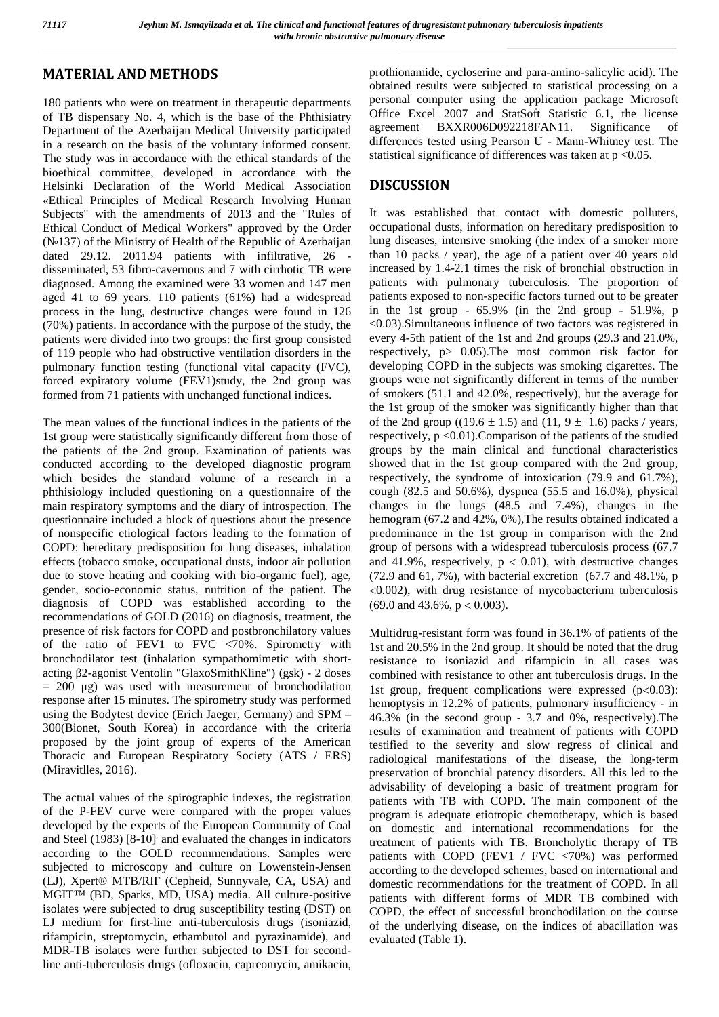## **MATERIAL AND METHODS**

180 patients who were on treatment in therapeutic departments of TB dispensary No. 4, which is the base of the Phthisiatry Department of the Azerbaijan Medical University participated in a research on the basis of the voluntary informed consent. The study was in accordance with the ethical standards of the bioethical committee, developed in accordance with the Helsinki Declaration of the World Medical Association «Ethical Principles of Medical Research Involving Human Subjects" with the amendments of 2013 and the "Rules of Ethical Conduct of Medical Workers" approved by the Order (№137) of the Ministry of Health of the Republic of Azerbaijan dated 29.12. 2011.94 patients with infiltrative, 26 disseminated, 53 fibro-cavernous and 7 with cirrhotic TB were diagnosed. Among the examined were 33 women and 147 men aged 41 to 69 years. 110 patients (61%) had a widespread process in the lung, destructive changes were found in 126 (70%) patients. In accordance with the purpose of the study, the patients were divided into two groups: the first group consisted of 119 people who had obstructive ventilation disorders in the pulmonary function testing (functional vital capacity (FVC), forced expiratory volume (FEV1)study, the 2nd group was formed from 71 patients with unchanged functional indices.

The mean values of the functional indices in the patients of the 1st group were statistically significantly different from those of the patients of the 2nd group. Examination of patients was conducted according to the developed diagnostic program which besides the standard volume of a research in a phthisiology included questioning on a questionnaire of the main respiratory symptoms and the diary of introspection. The questionnaire included a block of questions about the presence of nonspecific etiological factors leading to the formation of COPD: hereditary predisposition for lung diseases, inhalation effects (tobacco smoke, occupational dusts, indoor air pollution due to stove heating and cooking with bio-organic fuel), age, gender, socio-economic status, nutrition of the patient. The diagnosis of COPD was established according to the recommendations of GOLD (2016) on diagnosis, treatment, the presence of risk factors for COPD and postbronchilatory values of the ratio of FEV1 to FVC <70%. Spirometry with bronchodilator test (inhalation sympathomimetic with short acting 2-agonist Ventolin "GlaxoSmithKline") (gsk) - 2 doses  $= 200 \text{ µg}$  was used with measurement of bronchodilation response after 15 minutes. The spirometry study was performed using the Bodytest device (Erich Jaeger, Germany) and SPM – 300(Bionet, South Korea) in accordance with the criteria proposed by the joint group of experts of the American Thoracic and European Respiratory Society (ATS / ERS) (Miravitlles, 2016).

The actual values of the spirographic indexes, the registration of the P-FEV curve were compared with the proper values developed by the experts of the European Community of Coal and Steel (1983) [8-10] and evaluated the changes in indicators according to the GOLD recommendations. Samples were subjected to microscopy and culture on Lowenstein-Jensen (LJ), Xpert® MTB/RIF (Cepheid, Sunnyvale, CA, USA) and MGIT™ (BD, Sparks, MD, USA) media. All culture-positive isolates were subjected to drug susceptibility testing (DST) on LJ medium for first-line anti-tuberculosis drugs (isoniazid, rifampicin, streptomycin, ethambutol and pyrazinamide), and MDR-TB isolates were further subjected to DST for secondline anti-tuberculosis drugs (ofloxacin, capreomycin, amikacin,

prothionamide, cycloserine and para-amino-salicylic acid). The obtained results were subjected to statistical processing on a personal computer using the application package Microsoft Office Excel 2007 and StatSoft Statistic 6.1, the license agreement BXXR006D092218FAN11. Significance of differences tested using Pearson U - Mann-Whitney test. The statistical significance of differences was taken at  $p < 0.05$ .

## **DISCUSSION**

It was established that contact with domestic polluters, occupational dusts, information on hereditary predisposition to lung diseases, intensive smoking (the index of a smoker more than 10 packs / year), the age of a patient over 40 years old increased by 1.4-2.1 times the risk of bronchial obstruction in patients with pulmonary tuberculosis. The proportion of patients exposed to non-specific factors turned out to be greater in the 1st group -  $65.9\%$  (in the 2nd group -  $51.9\%$ , p <0.03).Simultaneous influence of two factors was registered in every 4-5th patient of the 1st and 2nd groups (29.3 and 21.0%, respectively, p> 0.05).The most common risk factor for developing COPD in the subjects was smoking cigarettes. The groups were not significantly different in terms of the number of smokers (51.1 and 42.0%, respectively), but the average for the 1st group of the smoker was significantly higher than that of the 2nd group ((19.6  $\pm$  1.5) and (11, 9  $\pm$  1.6) packs / years, respectively,  $p < 0.01$ ). Comparison of the patients of the studied groups by the main clinical and functional characteristics showed that in the 1st group compared with the 2nd group, respectively, the syndrome of intoxication (79.9 and 61.7%), cough (82.5 and 50.6%), dyspnea (55.5 and 16.0%), physical changes in the lungs (48.5 and 7.4%), changes in the hemogram (67.2 and 42%, 0%), The results obtained indicated a predominance in the 1st group in comparison with the 2nd group of persons with a widespread tuberculosis process (67.7 and 41.9%, respectively,  $p < 0.01$ ), with destructive changes (72.9 and 61, 7%), with bacterial excretion (67.7 and 48.1%, p  $\leq 0.002$ ), with drug resistance of mycobacterium tuberculosis  $(69.0$  and  $43.6\%$ ,  $p < 0.003$ ).

Multidrug-resistant form was found in 36.1% of patients of the 1st and 20.5% in the 2nd group. It should be noted that the drug resistance to isoniazid and rifampicin in all cases was combined with resistance to other ant tuberculosis drugs. In the 1st group, frequent complications were expressed  $\left( \langle 0.03 \rangle \right)$ : hemoptysis in 12.2% of patients, pulmonary insufficiency - in 46.3% (in the second group - 3.7 and 0%, respectively).The results of examination and treatment of patients with COPD testified to the severity and slow regress of clinical and radiological manifestations of the disease, the long-term preservation of bronchial patency disorders. All this led to the advisability of developing a basic of treatment program for patients with TB with COPD. The main component of the program is adequate etiotropic chemotherapy, which is based on domestic and international recommendations for the treatment of patients with TB. Broncholytic therapy of TB patients with COPD (FEV1 / FVC <70%) was performed according to the developed schemes, based on international and domestic recommendations for the treatment of COPD. In all patients with different forms of MDR TB combined with COPD, the effect of successful bronchodilation on the course of the underlying disease, on the indices of abacillation was evaluated (Table 1).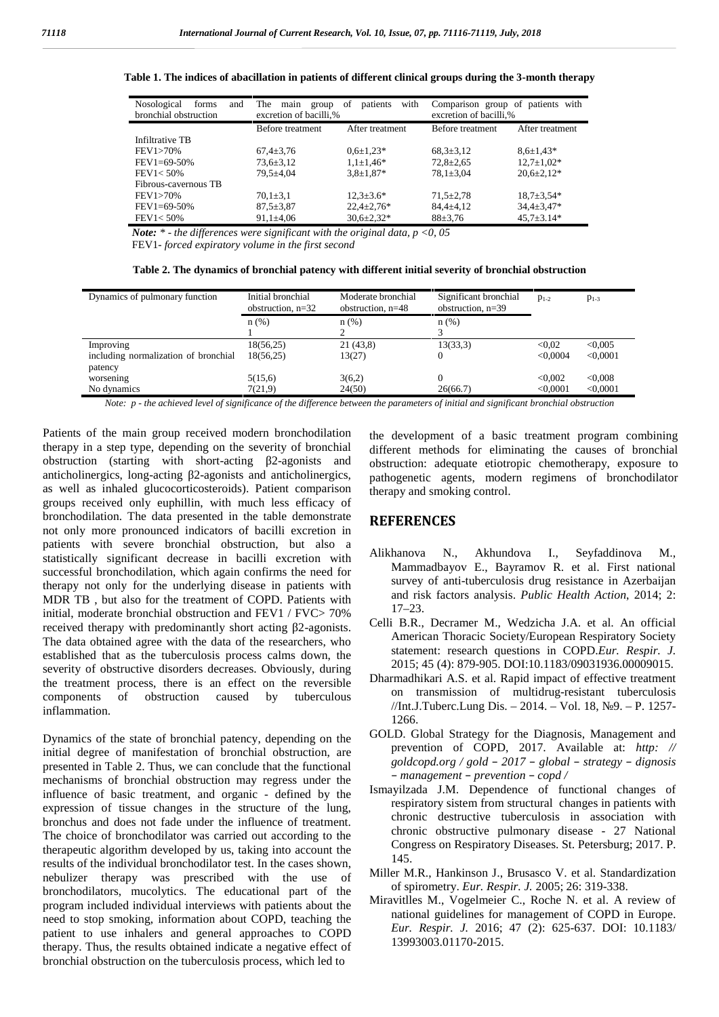| Nosological<br>forms<br>and | The<br>main<br>group   | with<br>of<br>patients | Comparison group of patients with |                  |  |
|-----------------------------|------------------------|------------------------|-----------------------------------|------------------|--|
| bronchial obstruction       | excretion of bacilli,% |                        | excretion of bacilli,%            |                  |  |
|                             | Before treatment       | After treatment        | Before treatment                  | After treatment  |  |
| Infiltrative TB             |                        |                        |                                   |                  |  |
| <b>FEV1&gt;70%</b>          | $67,4 \pm 3,76$        | $0.6 \pm 1.23*$        | $68,3 \pm 3,12$                   | $8.6 \pm 1.43*$  |  |
| $FEV1=69-50%$               | $73,6 \pm 3,12$        | $1.1 \pm 1.46*$        | $72.8 \pm 2.65$                   | $12.7 \pm 1.02*$ |  |
| FEV1 < 50%                  | 79.5±4.04              | $3.8 \pm 1.87*$        | $78.1 \pm 3.04$                   | $20.6 \pm 2.12*$ |  |
| Fibrous-cavernous TB        |                        |                        |                                   |                  |  |
| <b>FEV1&gt;70%</b>          | $70,1 \pm 3,1$         | $12.3 \pm 3.6*$        | $71.5 \pm 2.78$                   | $18.7 \pm 3.54*$ |  |
| $FEV1=69-50%$               | $87.5 \pm 3.87$        | $22.4 \pm 2.76*$       | $84.4 \pm 4.12$                   | $34,4 \pm 3,47*$ |  |
| $FEV1 < 50\%$               | $91,1\pm4,06$          | $30.6 \pm 2.32*$       | $88 \pm 3.76$                     | $45,7 \pm 3.14*$ |  |

#### **Table 1. The indices of abacillation in patients of different clinical groups during the 3-month therapy**

*Note: \* - the differences were significant with the original data, p <0, 05* FEV1*- forced expiratory volume in the first second*

| Table 2. The dynamics of bronchial patency with different initial severity of bronchial obstruction |  |  |
|-----------------------------------------------------------------------------------------------------|--|--|
|                                                                                                     |  |  |

| Dynamics of pulmonary function       | Initial bronchial<br>obstruction, $n=32$ | Moderate bronchial<br>obstruction, $n=48$ | Significant bronchial<br>obstruction, $n=39$ | $1-2$    | $1 - 3$  |
|--------------------------------------|------------------------------------------|-------------------------------------------|----------------------------------------------|----------|----------|
|                                      | n(%)                                     | n(%)                                      | n(%)                                         |          |          |
|                                      |                                          |                                           |                                              |          |          |
| Improving                            | 18(56,25)                                | 21(43,8)                                  | 13(33,3)                                     | < 0.02   | < 0.005  |
| including normalization of bronchial | 18(56,25)                                | 13(27)                                    |                                              | < 0.0004 | < 0.0001 |
| patency                              |                                          |                                           |                                              |          |          |
| worsening                            | 5(15,6)                                  | 3(6,2)                                    |                                              | < 0.002  | < 0.008  |
| No dynamics                          | 7(21.9)                                  | 24(50)                                    | 26(66.7)                                     | < 0.0001 | < 0.0001 |

*Note: p - the achieved level of significance of the difference between the parameters of initial and significant bronchial obstruction*

Patients of the main group received modern bronchodilation therapy in a step type, depending on the severity of bronchial obstruction (starting with short-acting 2-agonists and anticholinergics, long-acting 2-agonists and anticholinergics, as well as inhaled glucocorticosteroids). Patient comparison groups received only euphillin, with much less efficacy of bronchodilation. The data presented in the table demonstrate not only more pronounced indicators of bacilli excretion in patients with severe bronchial obstruction, but also a statistically significant decrease in bacilli excretion with successful bronchodilation, which again confirms the need for therapy not only for the underlying disease in patients with MDR TB , but also for the treatment of COPD. Patients with initial, moderate bronchial obstruction and FEV1 / FVC> 70% received therapy with predominantly short acting 2-agonists. The data obtained agree with the data of the researchers, who established that as the tuberculosis process calms down, the severity of obstructive disorders decreases. Obviously, during the treatment process, there is an effect on the reversible components of obstruction caused by tuberculous inflammation.

Dynamics of the state of bronchial patency, depending on the initial degree of manifestation of bronchial obstruction, are presented in Table 2. Thus, we can conclude that the functional mechanisms of bronchial obstruction may regress under the influence of basic treatment, and organic - defined by the expression of tissue changes in the structure of the lung, bronchus and does not fade under the influence of treatment. The choice of bronchodilator was carried out according to the therapeutic algorithm developed by us, taking into account the results of the individual bronchodilator test. In the cases shown, nebulizer therapy was prescribed with the use of bronchodilators, mucolytics. The educational part of the program included individual interviews with patients about the need to stop smoking, information about COPD, teaching the patient to use inhalers and general approaches to COPD therapy. Thus, the results obtained indicate a negative effect of bronchial obstruction on the tuberculosis process, which led to

the development of a basic treatment program combining different methods for eliminating the causes of bronchial obstruction: adequate etiotropic chemotherapy, exposure to pathogenetic agents, modern regimens of bronchodilator therapy and smoking control.

### **REFERENCES**

- N., Akhundova I., Seyfaddinova M., Mammadbayov E., Bayramov R. et al. First national survey of anti-tuberculosis drug resistance in Azerbaijan and risk factors analysis. *Public Health Action*, 2014; 2: 17–23.
- Celli B.R., Decramer M., Wedzicha J.A. et al. An official American Thoracic Society/European Respiratory Society statement: research questions in COPD.*Eur. Respir. J.* 2015; 45 (4): 879-905. DOI:10.1183/09031936.00009015.
- Dharmadhikari A.S. et al. Rapid impact of effective treatment on transmission of multidrug-resistant tuberculosis //Int.J.Tuberc.Lung Dis. – 2014. – Vol. 18, №9. – P. 1257- 1266.
- GOLD. Global Strategy for the Diagnosis, Management and prevention of COPD, 2017. Available at: *http: // goldcopd.org / gold – 2017 – global – strategy – dignosis – management – prevention – copd /*
- Ismayilzada J.M. Dependence of functional changes of respiratory sistem from structural changes in patients with chronic destructive tuberculosis in association with chronic obstructive pulmonary disease - 27 National Congress on Respiratory Diseases. St. Petersburg; 2017. P. 145.
- Miller M.R., Hankinson J., Brusasco V. et al. Standardization of spirometry. *Eur. Respir. J.* 2005; 26: 319-338.
- Miravitlles M., Vogelmeier C., Roche N. et al. A review of national guidelines for management of COPD in Europe. *Eur. Respir. J.* 2016; 47 (2): 625-637. DOI: 10.1183/ 13993003.01170-2015.